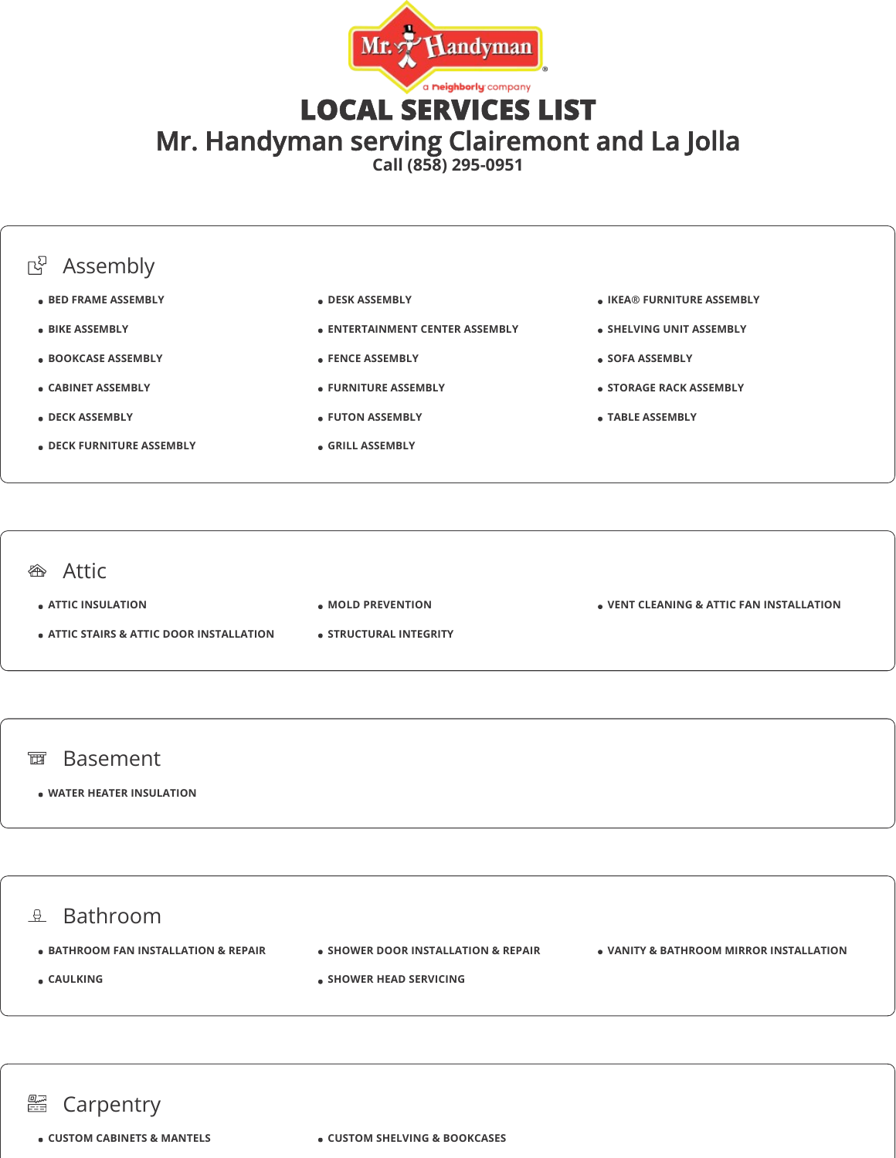

LOCAL SERVICES LIST

Mr. Handyman serving Clairemont and La Jolla

**Call (858) 295-0951**



### *<br />
Attic*

**ATTIC INSULATION**

- **ATTIC STAIRS & ATTIC DOOR INSTALLATION**
- **MOLD PREVENTION**
- **STRUCTURAL INTEGRITY**

**VENT CLEANING & ATTIC FAN INSTALLATION**

#### 面 Basement

### **WATER HEATER INSULATION**

 $\theta$  Bathroom **• BATHROOM FAN INSTALLATION & REPAIR CAULKING • SHOWER DOOR INSTALLATION & REPAIR SHOWER HEAD SERVICING VANITY & BATHROOM MIRROR INSTALLATION**

#### an<br>Eis Carpentry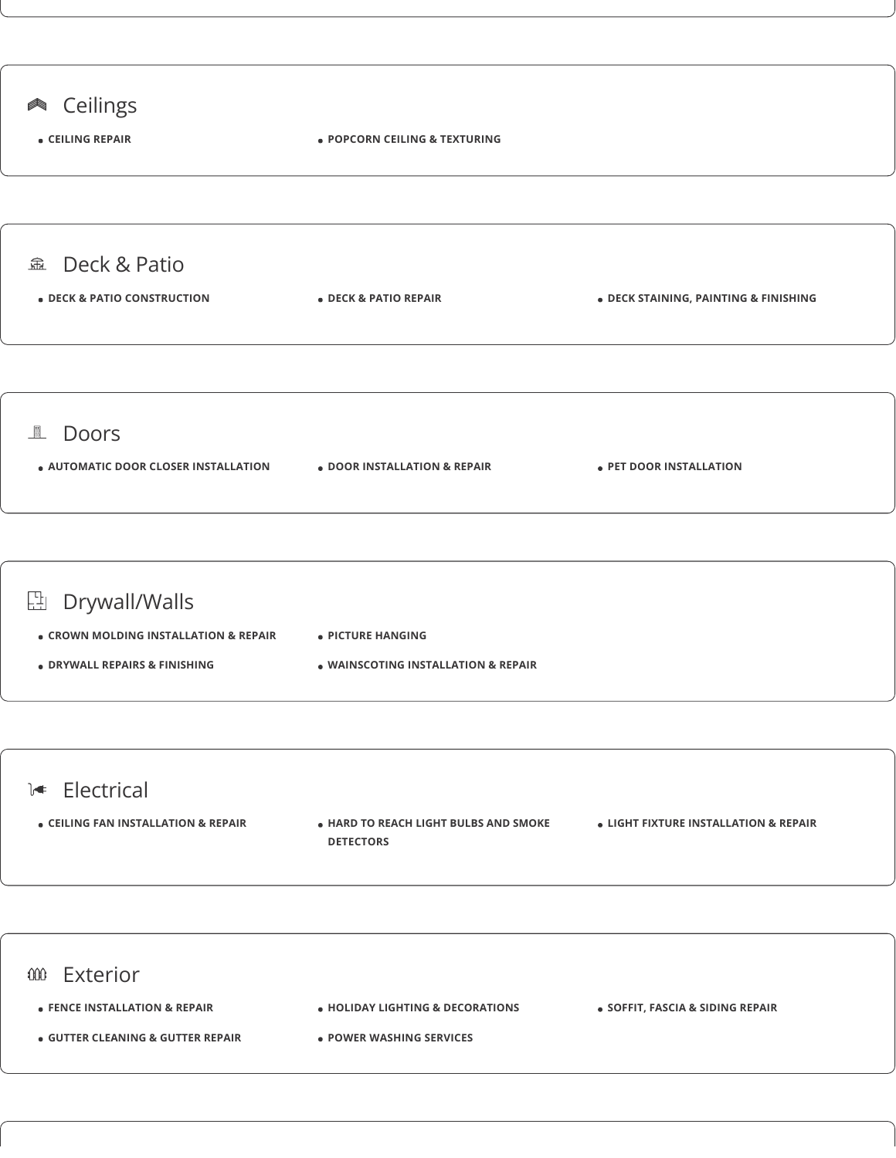

- **POWER WASHING SERVICES**
-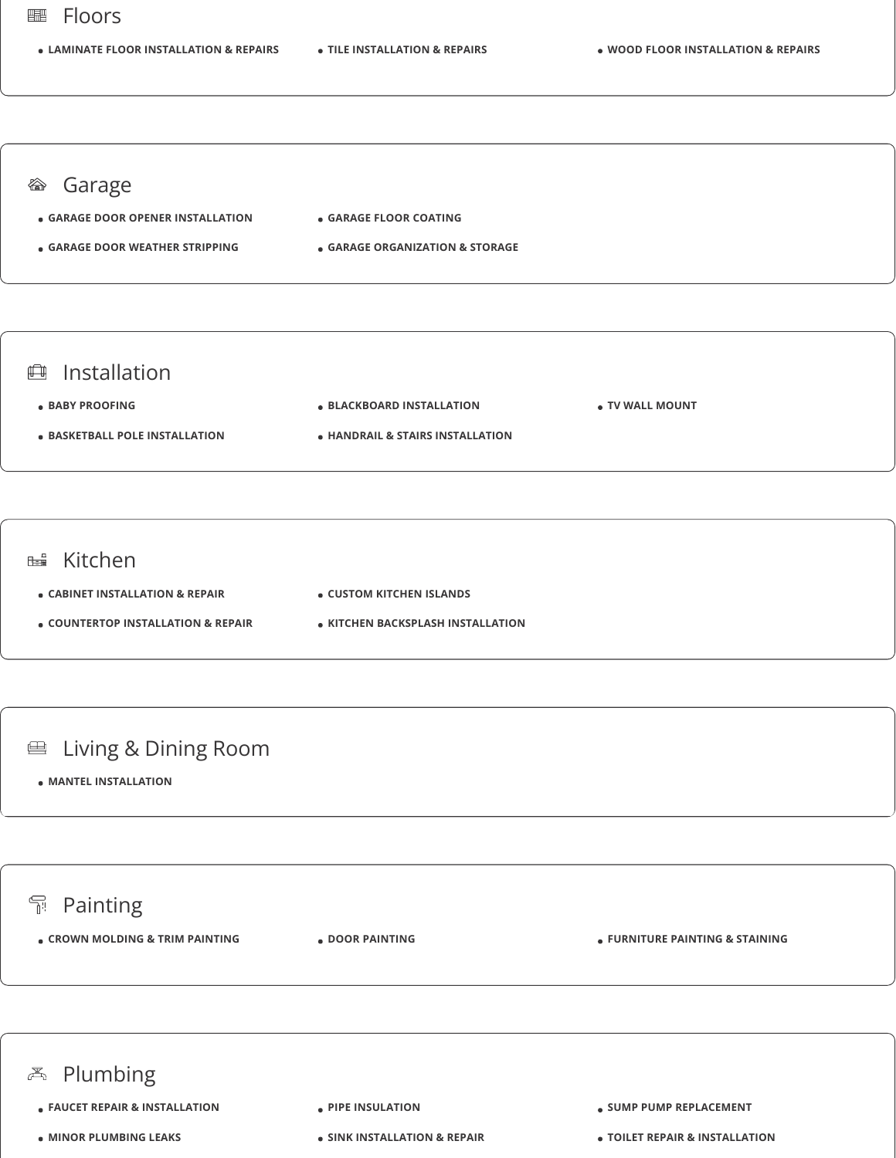#### Floors 鼺

**LAMINATE FLOOR INSTALLATION & REPAIRS TILE INSTALLATION & REPAIRS WOOD FLOOR INSTALLATION & REPAIRS**

## <sup>*S* **Garage**</sup>

- **GARAGE DOOR OPENER INSTALLATION GARAGE FLOOR COATING**
- **GARAGE DOOR WEATHER STRIPPING**
- -

### **GARAGE ORGANIZATION & STORAGE**

## **曲** Installation

**BABY PROOFING BASKETBALL POLE INSTALLATION BLACKBOARD INSTALLATION HANDRAIL & STAIRS INSTALLATION TV WALL MOUNT**

### **EB** Kitchen

- **CABINET INSTALLATION & REPAIR**
- **COUNTERTOP INSTALLATION & REPAIR**
- **CUSTOM KITCHEN ISLANDS**
- **KITCHEN BACKSPLASH INSTALLATION**

## **■ Living & Dining Room**

**MANTEL INSTALLATION**